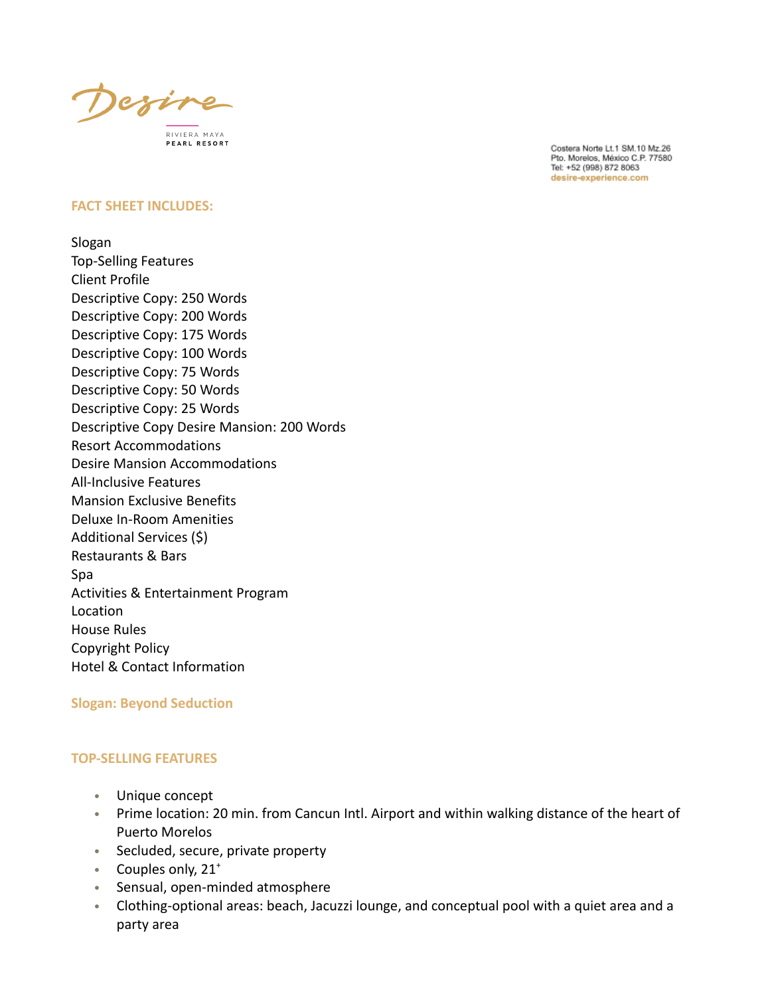Define RIVIERA MAYA PEARL RESORT

#### **FACT SHEET INCLUDES:**

Slogan Top-Selling Features Client Profile Descriptive Copy: 250 Words Descriptive Copy: 200 Words Descriptive Copy: 175 Words Descriptive Copy: 100 Words Descriptive Copy: 75 Words Descriptive Copy: 50 Words Descriptive Copy: 25 Words Descriptive Copy Desire Mansion: 200 Words Resort Accommodations Desire Mansion Accommodations All-Inclusive Features Mansion Exclusive Benefits Deluxe In-Room Amenities Additional Services (\$) Restaurants & Bars Spa Activities & Entertainment Program Location House Rules Copyright Policy Hotel & Contact Information

### **Slogan: Beyond Seduction**

### **TOP-SELLING FEATURES**

- Unique concept
- Prime location: 20 min. from Cancun Intl. Airport and within walking distance of the heart of Puerto Morelos
- Secluded, secure, private property
- Couples only, 21<sup>+</sup>
- Sensual, open-minded atmosphere
- Clothing-optional areas: beach, Jacuzzi lounge, and conceptual pool with a quiet area and a party area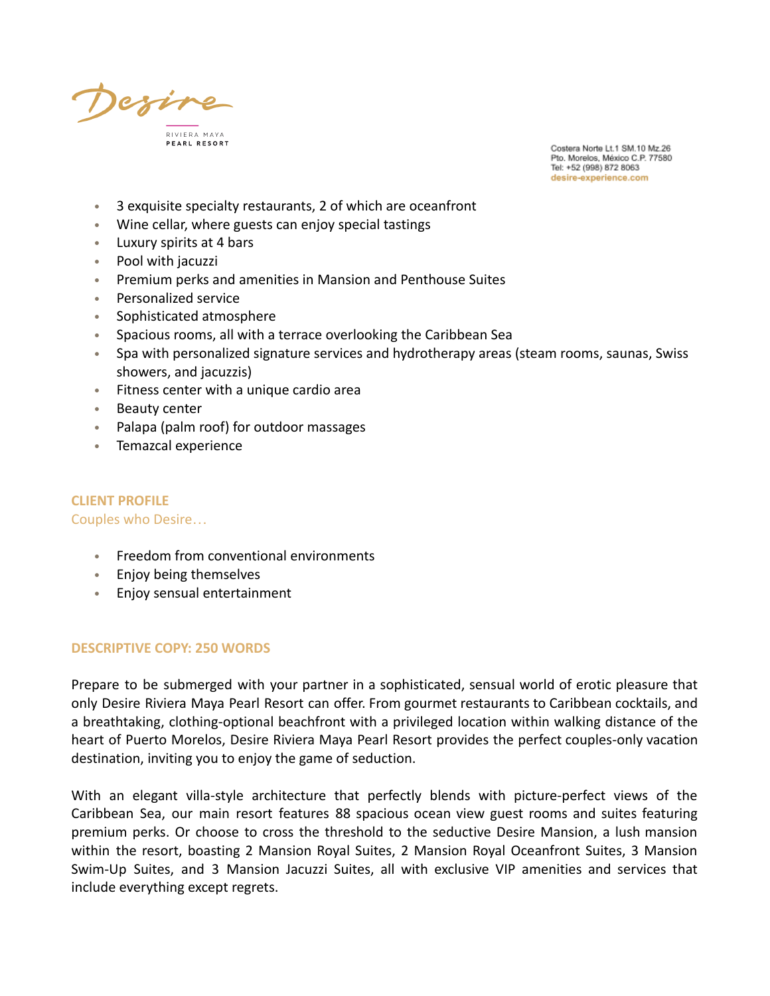define RIVIERA MAYA

- 3 exquisite specialty restaurants, 2 of which are oceanfront
- Wine cellar, where guests can enjoy special tastings
- Luxury spirits at 4 bars
- Pool with jacuzzi
- Premium perks and amenities in Mansion and Penthouse Suites
- Personalized service
- Sophisticated atmosphere
- Spacious rooms, all with a terrace overlooking the Caribbean Sea
- Spa with personalized signature services and hydrotherapy areas (steam rooms, saunas, Swiss showers, and jacuzzis)
- Fitness center with a unique cardio area
- Beauty center
- Palapa (palm roof) for outdoor massages
- Temazcal experience

# **CLIENT PROFILE**

#### Couples who Desire…

- Freedom from conventional environments
- Enjoy being themselves
- Enjoy sensual entertainment

#### **DESCRIPTIVE COPY: 250 WORDS**

Prepare to be submerged with your partner in a sophisticated, sensual world of erotic pleasure that only Desire Riviera Maya Pearl Resort can offer. From gourmet restaurants to Caribbean cocktails, and a breathtaking, clothing-optional beachfront with a privileged location within walking distance of the heart of Puerto Morelos, Desire Riviera Maya Pearl Resort provides the perfect couples-only vacation destination, inviting you to enjoy the game of seduction.

With an elegant villa-style architecture that perfectly blends with picture-perfect views of the Caribbean Sea, our main resort features 88 spacious ocean view guest rooms and suites featuring premium perks. Or choose to cross the threshold to the seductive Desire Mansion, a lush mansion within the resort, boasting 2 Mansion Royal Suites, 2 Mansion Royal Oceanfront Suites, 3 Mansion Swim-Up Suites, and 3 Mansion Jacuzzi Suites, all with exclusive VIP amenities and services that include everything except regrets.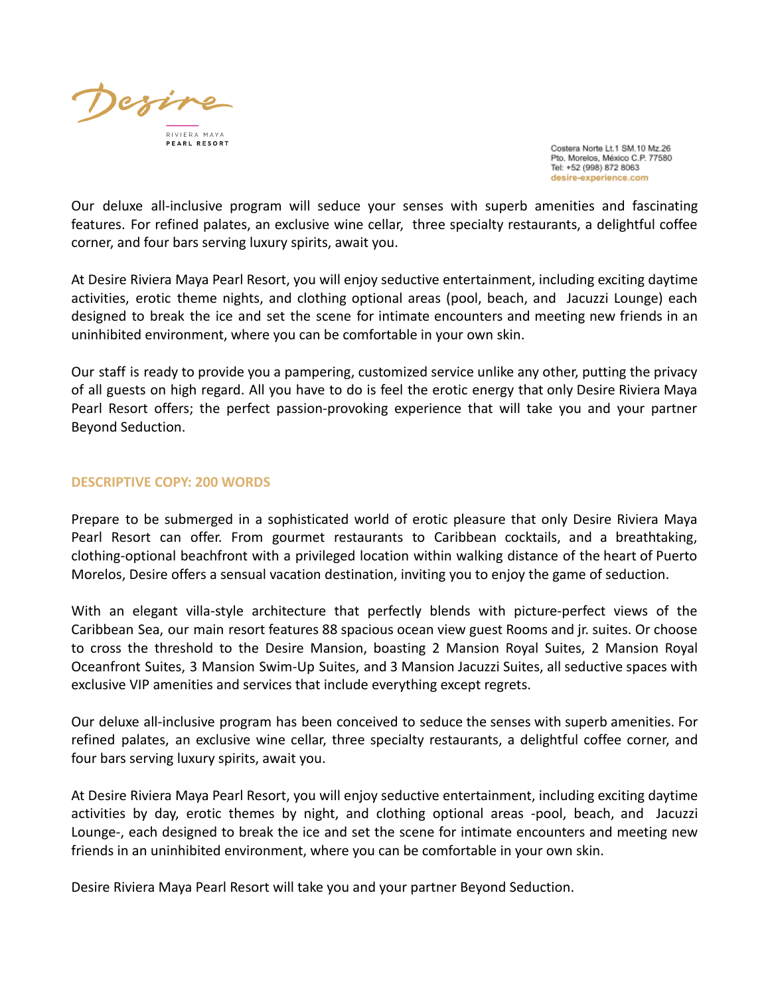

Our deluxe all-inclusive program will seduce your senses with superb amenities and fascinating features. For refined palates, an exclusive wine cellar, three specialty restaurants, a delightful coffee corner, and four bars serving luxury spirits, await you.

At Desire Riviera Maya Pearl Resort, you will enjoy seductive entertainment, including exciting daytime activities, erotic theme nights, and clothing optional areas (pool, beach, and Jacuzzi Lounge) each designed to break the ice and set the scene for intimate encounters and meeting new friends in an uninhibited environment, where you can be comfortable in your own skin.

Our staff is ready to provide you a pampering, customized service unlike any other, putting the privacy of all guests on high regard. All you have to do is feel the erotic energy that only Desire Riviera Maya Pearl Resort offers; the perfect passion-provoking experience that will take you and your partner Beyond Seduction.

### **DESCRIPTIVE COPY: 200 WORDS**

Prepare to be submerged in a sophisticated world of erotic pleasure that only Desire Riviera Maya Pearl Resort can offer. From gourmet restaurants to Caribbean cocktails, and a breathtaking, clothing-optional beachfront with a privileged location within walking distance of the heart of Puerto Morelos, Desire offers a sensual vacation destination, inviting you to enjoy the game of seduction.

With an elegant villa-style architecture that perfectly blends with picture-perfect views of the Caribbean Sea, our main resort features 88 spacious ocean view guest Rooms and jr. suites. Or choose to cross the threshold to the Desire Mansion, boasting 2 Mansion Royal Suites, 2 Mansion Royal Oceanfront Suites, 3 Mansion Swim-Up Suites, and 3 Mansion Jacuzzi Suites, all seductive spaces with exclusive VIP amenities and services that include everything except regrets.

Our deluxe all-inclusive program has been conceived to seduce the senses with superb amenities. For refined palates, an exclusive wine cellar, three specialty restaurants, a delightful coffee corner, and four bars serving luxury spirits, await you.

At Desire Riviera Maya Pearl Resort, you will enjoy seductive entertainment, including exciting daytime activities by day, erotic themes by night, and clothing optional areas -pool, beach, and Jacuzzi Lounge-, each designed to break the ice and set the scene for intimate encounters and meeting new friends in an uninhibited environment, where you can be comfortable in your own skin.

Desire Riviera Maya Pearl Resort will take you and your partner Beyond Seduction.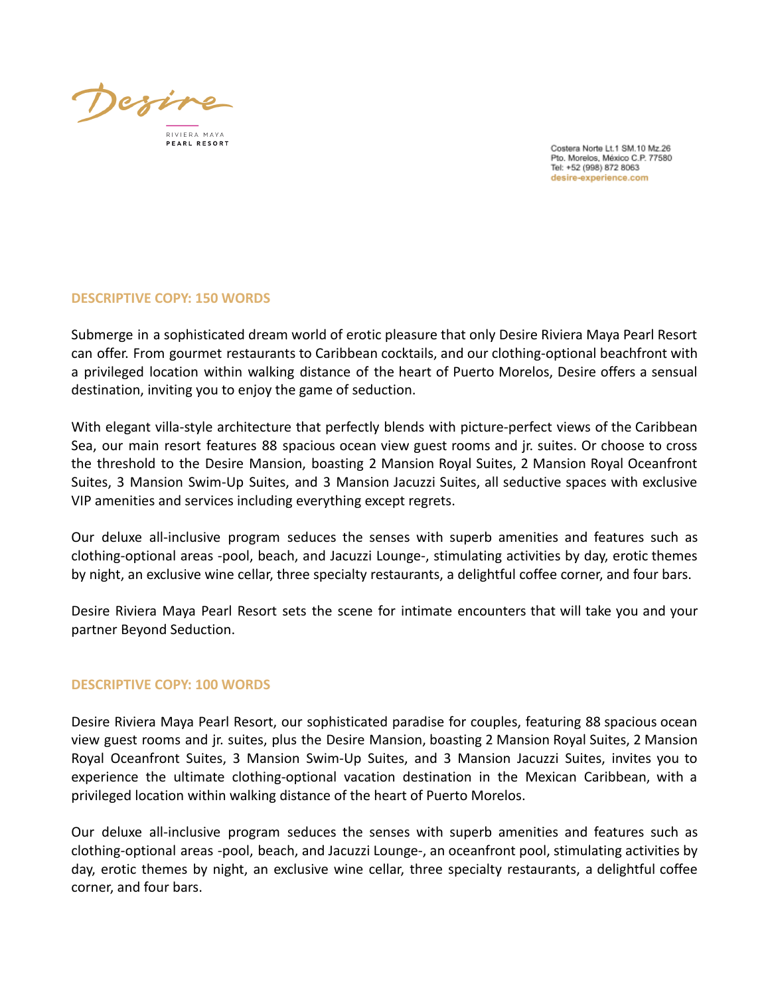Dezir

RIVIERA MAYA

Costera Norte Lt.1 SM.10 Mz.26 Pto. Morelos, México C.P. 77580 Tel: +52 (998) 872 8063 desire-experience.com

## **DESCRIPTIVE COPY: 150 WORDS**

Submerge in a sophisticated dream world of erotic pleasure that only Desire Riviera Maya Pearl Resort can offer. From gourmet restaurants to Caribbean cocktails, and our clothing-optional beachfront with a privileged location within walking distance of the heart of Puerto Morelos, Desire offers a sensual destination, inviting you to enjoy the game of seduction.

With elegant villa-style architecture that perfectly blends with picture-perfect views of the Caribbean Sea, our main resort features 88 spacious ocean view guest rooms and jr. suites. Or choose to cross the threshold to the Desire Mansion, boasting 2 Mansion Royal Suites, 2 Mansion Royal Oceanfront Suites, 3 Mansion Swim-Up Suites, and 3 Mansion Jacuzzi Suites, all seductive spaces with exclusive VIP amenities and services including everything except regrets.

Our deluxe all-inclusive program seduces the senses with superb amenities and features such as clothing-optional areas -pool, beach, and Jacuzzi Lounge-, stimulating activities by day, erotic themes by night, an exclusive wine cellar, three specialty restaurants, a delightful coffee corner, and four bars.

Desire Riviera Maya Pearl Resort sets the scene for intimate encounters that will take you and your partner Beyond Seduction.

## **DESCRIPTIVE COPY: 100 WORDS**

Desire Riviera Maya Pearl Resort, our sophisticated paradise for couples, featuring 88 spacious ocean view guest rooms and jr. suites, plus the Desire Mansion, boasting 2 Mansion Royal Suites, 2 Mansion Royal Oceanfront Suites, 3 Mansion Swim-Up Suites, and 3 Mansion Jacuzzi Suites, invites you to experience the ultimate clothing-optional vacation destination in the Mexican Caribbean, with a privileged location within walking distance of the heart of Puerto Morelos.

Our deluxe all-inclusive program seduces the senses with superb amenities and features such as clothing-optional areas -pool, beach, and Jacuzzi Lounge-, an oceanfront pool, stimulating activities by day, erotic themes by night, an exclusive wine cellar, three specialty restaurants, a delightful coffee corner, and four bars.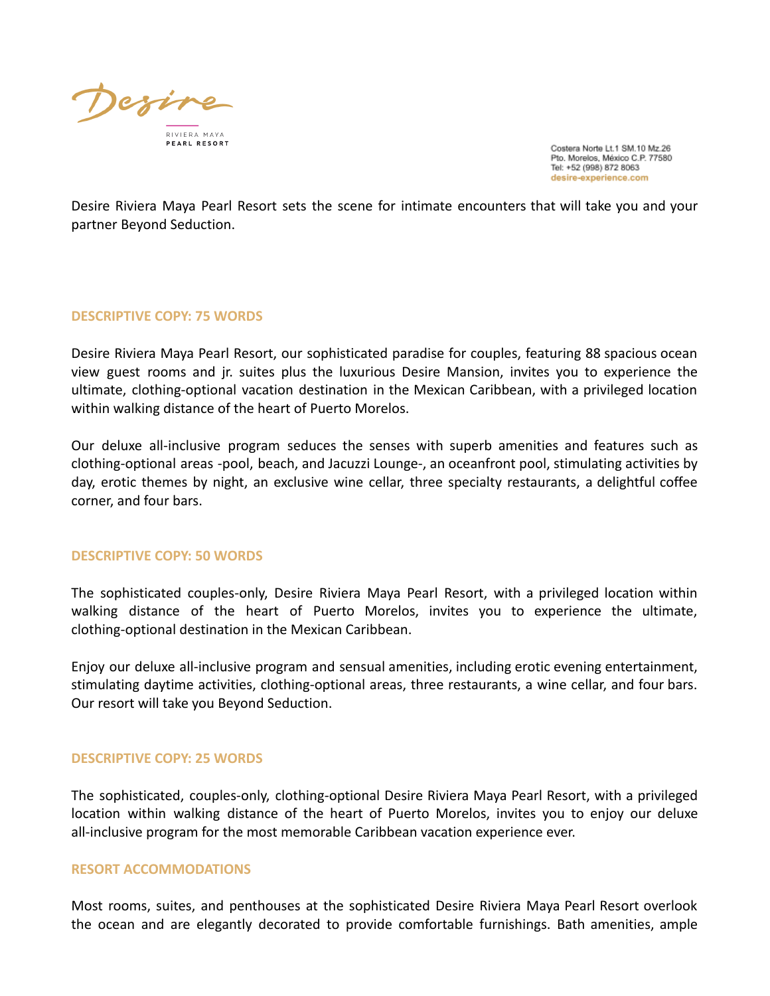

Desire Riviera Maya Pearl Resort sets the scene for intimate encounters that will take you and your partner Beyond Seduction.

#### **DESCRIPTIVE COPY: 75 WORDS**

Desire Riviera Maya Pearl Resort, our sophisticated paradise for couples, featuring 88 spacious ocean view guest rooms and jr. suites plus the luxurious Desire Mansion, invites you to experience the ultimate, clothing-optional vacation destination in the Mexican Caribbean, with a privileged location within walking distance of the heart of Puerto Morelos.

Our deluxe all-inclusive program seduces the senses with superb amenities and features such as clothing-optional areas -pool, beach, and Jacuzzi Lounge-, an oceanfront pool, stimulating activities by day, erotic themes by night, an exclusive wine cellar, three specialty restaurants, a delightful coffee corner, and four bars.

### **DESCRIPTIVE COPY: 50 WORDS**

The sophisticated couples-only, Desire Riviera Maya Pearl Resort, with a privileged location within walking distance of the heart of Puerto Morelos, invites you to experience the ultimate, clothing-optional destination in the Mexican Caribbean.

Enjoy our deluxe all-inclusive program and sensual amenities, including erotic evening entertainment, stimulating daytime activities, clothing-optional areas, three restaurants, a wine cellar, and four bars. Our resort will take you Beyond Seduction.

### **DESCRIPTIVE COPY: 25 WORDS**

The sophisticated, couples-only, clothing-optional Desire Riviera Maya Pearl Resort, with a privileged location within walking distance of the heart of Puerto Morelos, invites you to enjoy our deluxe all-inclusive program for the most memorable Caribbean vacation experience ever.

#### **RESORT ACCOMMODATIONS**

Most rooms, suites, and penthouses at the sophisticated Desire Riviera Maya Pearl Resort overlook the ocean and are elegantly decorated to provide comfortable furnishings. Bath amenities, ample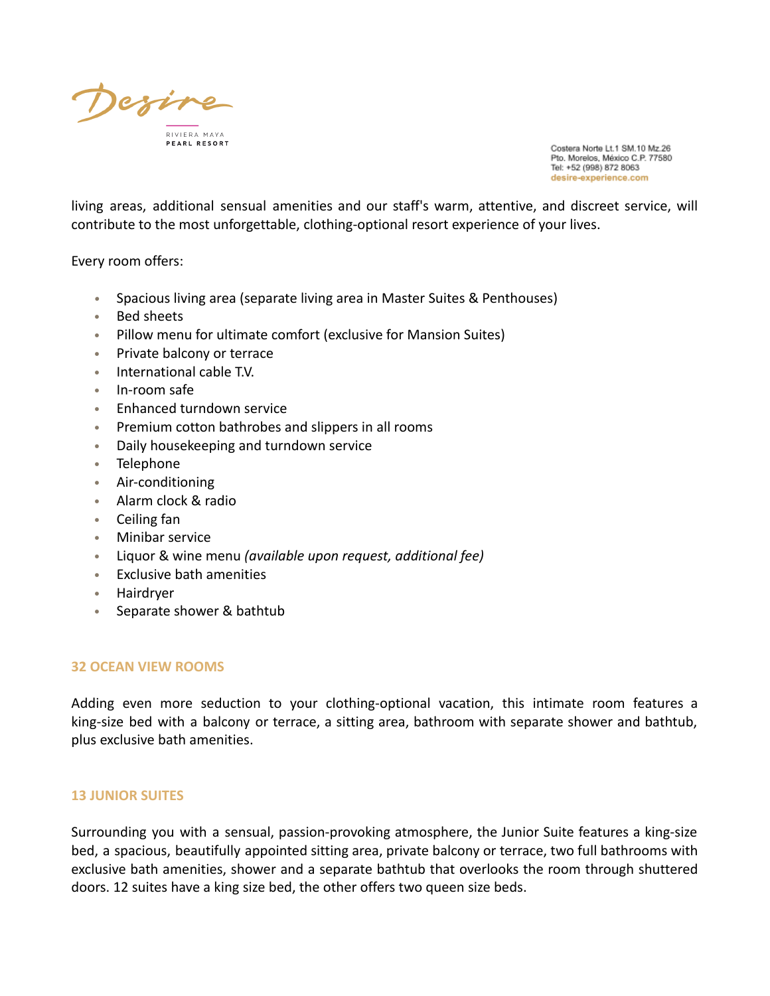

living areas, additional sensual amenities and our staff's warm, attentive, and discreet service, will contribute to the most unforgettable, clothing-optional resort experience of your lives.

Every room offers:

- *•* Spacious living area (separate living area in Master Suites & Penthouses)
- Bed sheets
- Pillow menu for ultimate comfort (exclusive for Mansion Suites)
- Private balcony or terrace
- International cable T.V.
- In-room safe
- Enhanced turndown service
- Premium cotton bathrobes and slippers in all rooms
- Daily housekeeping and turndown service
- Telephone
- Air-conditioning
- Alarm clock & radio
- Ceiling fan
- Minibar service
- Liquor & wine menu *(available upon request, additional fee)*
- Exclusive bath amenities
- Hairdryer
- Separate shower & bathtub

### **32 OCEAN VIEW ROOMS**

Adding even more seduction to your clothing-optional vacation, this intimate room features a king-size bed with a balcony or terrace, a sitting area, bathroom with separate shower and bathtub, plus exclusive bath amenities.

## **13 JUNIOR SUITES**

Surrounding you with a sensual, passion-provoking atmosphere, the Junior Suite features a king-size bed, a spacious, beautifully appointed sitting area, private balcony or terrace, two full bathrooms with exclusive bath amenities, shower and a separate bathtub that overlooks the room through shuttered doors. 12 suites have a king size bed, the other offers two queen size beds.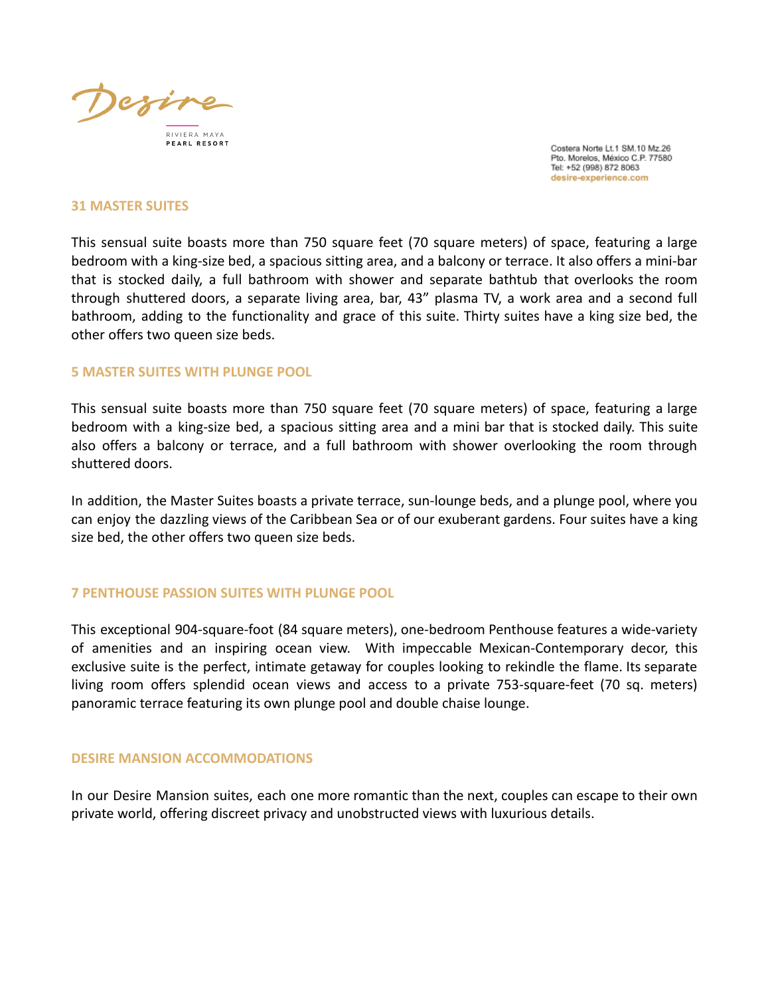

#### **31 MASTER SUITES**

This sensual suite boasts more than 750 square feet (70 square meters) of space, featuring a large bedroom with a king-size bed, a spacious sitting area, and a balcony or terrace. It also offers a mini-bar that is stocked daily, a full bathroom with shower and separate bathtub that overlooks the room through shuttered doors, a separate living area, bar, 43" plasma TV, a work area and a second full bathroom, adding to the functionality and grace of this suite. Thirty suites have a king size bed, the other offers two queen size beds.

#### **5 MASTER SUITES WITH PLUNGE POOL**

This sensual suite boasts more than 750 square feet (70 square meters) of space, featuring a large bedroom with a king-size bed, a spacious sitting area and a mini bar that is stocked daily. This suite also offers a balcony or terrace, and a full bathroom with shower overlooking the room through shuttered doors.

In addition, the Master Suites boasts a private terrace, sun-lounge beds, and a plunge pool, where you can enjoy the dazzling views of the Caribbean Sea or of our exuberant gardens. Four suites have a king size bed, the other offers two queen size beds.

#### **7 PENTHOUSE PASSION SUITES WITH PLUNGE POOL**

This exceptional 904-square-foot (84 square meters), one-bedroom Penthouse features a wide-variety of amenities and an inspiring ocean view. With impeccable Mexican-Contemporary decor, this exclusive suite is the perfect, intimate getaway for couples looking to rekindle the flame. Its separate living room offers splendid ocean views and access to a private 753-square-feet (70 sq. meters) panoramic terrace featuring its own plunge pool and double chaise lounge.

#### **DESIRE MANSION ACCOMMODATIONS**

In our Desire Mansion suites, each one more romantic than the next, couples can escape to their own private world, offering discreet privacy and unobstructed views with luxurious details.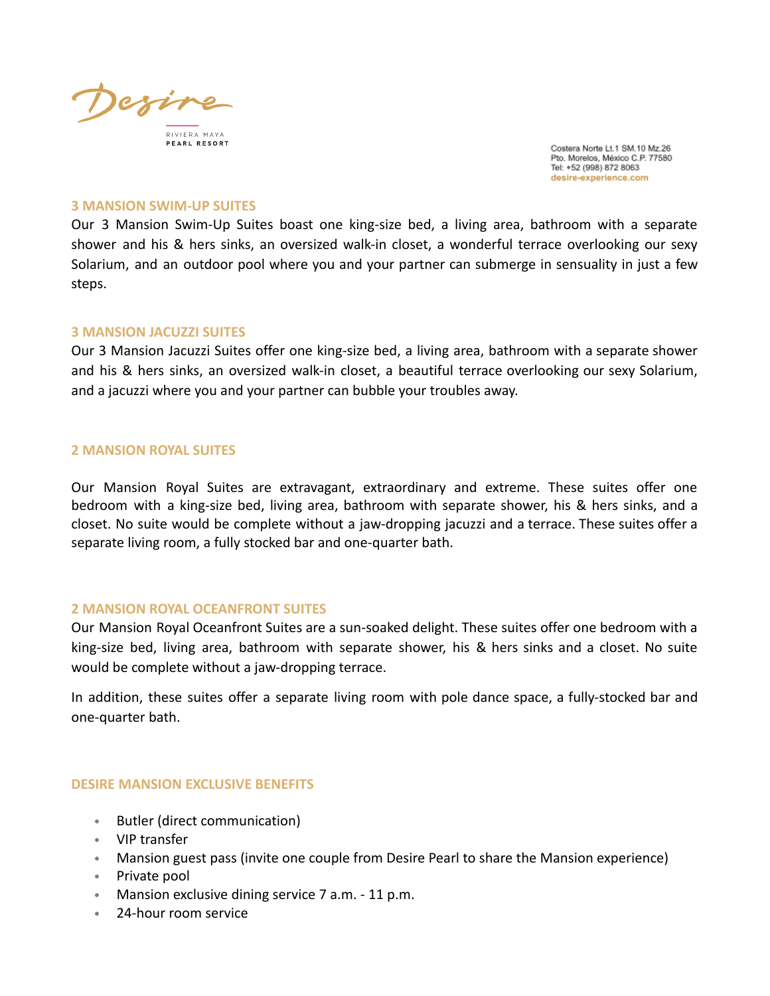

#### **3 MANSION SWIM-UP SUITES**

Our 3 Mansion Swim-Up Suites boast one king-size bed, a living area, bathroom with a separate shower and his & hers sinks, an oversized walk-in closet, a wonderful terrace overlooking our sexy Solarium, and an outdoor pool where you and your partner can submerge in sensuality in just a few steps.

#### **3 MANSION JACUZZI SUITES**

Our 3 Mansion Jacuzzi Suites offer one king-size bed, a living area, bathroom with a separate shower and his & hers sinks, an oversized walk-in closet, a beautiful terrace overlooking our sexy Solarium, and a jacuzzi where you and your partner can bubble your troubles away.

#### **2 MANSION ROYAL SUITES**

Our Mansion Royal Suites are extravagant, extraordinary and extreme. These suites offer one bedroom with a king-size bed, living area, bathroom with separate shower, his & hers sinks, and a closet. No suite would be complete without a jaw-dropping jacuzzi and a terrace. These suites offer a separate living room, a fully stocked bar and one-quarter bath.

#### **2 MANSION ROYAL OCEANFRONT SUITES**

Our Mansion Royal Oceanfront Suites are a sun-soaked delight. These suites offer one bedroom with a king-size bed, living area, bathroom with separate shower, his & hers sinks and a closet. No suite would be complete without a jaw-dropping terrace.

In addition, these suites offer a separate living room with pole dance space, a fully-stocked bar and one-quarter bath.

### **DESIRE MANSION EXCLUSIVE BENEFITS**

- Butler (direct communication)
- VIP transfer
- Mansion guest pass (invite one couple from Desire Pearl to share the Mansion experience)
- Private pool
- Mansion exclusive dining service 7 a.m. 11 p.m.
- 24-hour room service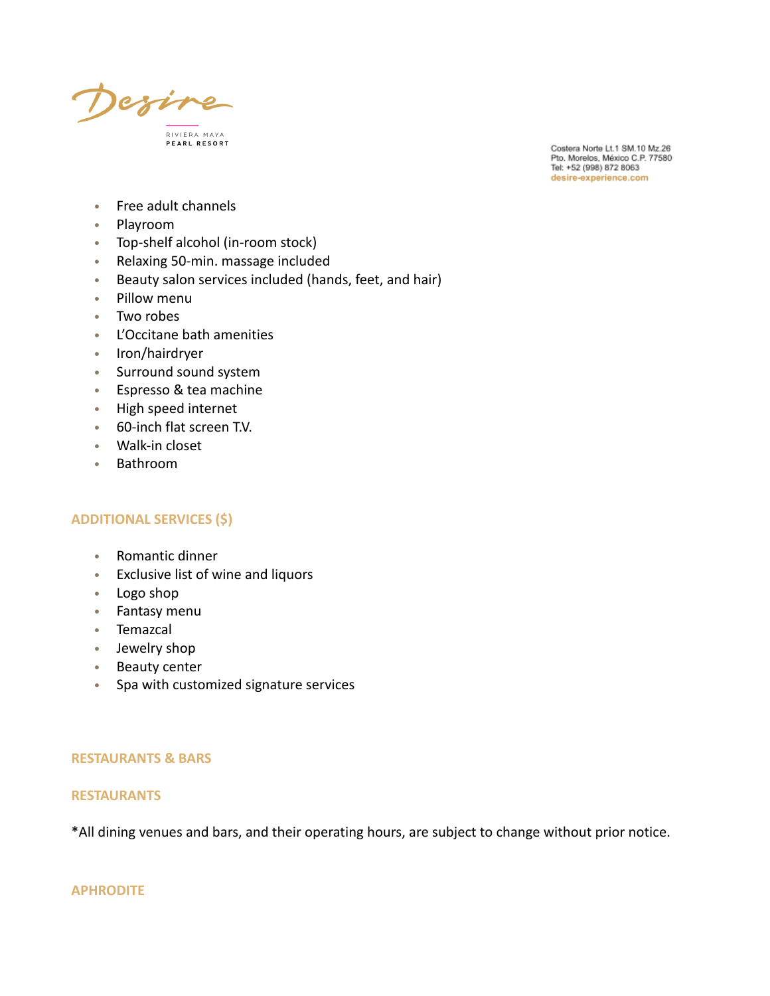

- Free adult channels
- Playroom
- Top-shelf alcohol (in-room stock)
- Relaxing 50-min. massage included
- Beauty salon services included (hands, feet, and hair)
- Pillow menu
- Two robes
- L'Occitane bath amenities
- Iron/hairdryer
- Surround sound system
- Espresso & tea machine
- High speed internet
- 60-inch flat screen T.V.
- Walk-in closet
- Bathroom

#### **ADDITIONAL SERVICES (\$)**

- Romantic dinner
- Exclusive list of wine and liquors
- Logo shop
- Fantasy menu
- Temazcal
- Jewelry shop
- Beauty center
- Spa with customized signature services

#### **RESTAURANTS & BARS**

#### **RESTAURANTS**

\*All dining venues and bars, and their operating hours, are subject to change without prior notice.

#### **APHRODITE**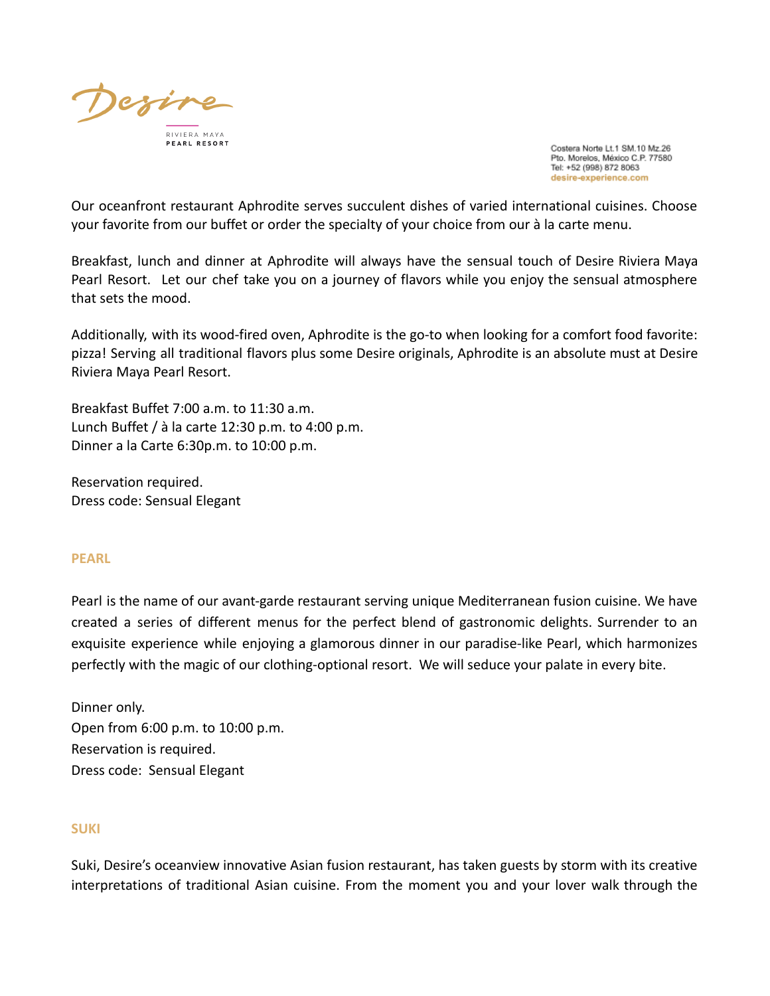

Our oceanfront restaurant Aphrodite serves succulent dishes of varied international cuisines. Choose your favorite from our buffet or order the specialty of your choice from our à la carte menu.

Breakfast, lunch and dinner at Aphrodite will always have the sensual touch of Desire Riviera Maya Pearl Resort. Let our chef take you on a journey of flavors while you enjoy the sensual atmosphere that sets the mood.

Additionally, with its wood-fired oven, Aphrodite is the go-to when looking for a comfort food favorite: pizza! Serving all traditional flavors plus some Desire originals, Aphrodite is an absolute must at Desire Riviera Maya Pearl Resort.

Breakfast Buffet 7:00 a.m. to 11:30 a.m. Lunch Buffet / à la carte 12:30 p.m. to 4:00 p.m. Dinner a la Carte 6:30p.m. to 10:00 p.m.

Reservation required. Dress code: Sensual Elegant

### **PEARL**

Pearl is the name of our avant-garde restaurant serving unique Mediterranean fusion cuisine. We have created a series of different menus for the perfect blend of gastronomic delights. Surrender to an exquisite experience while enjoying a glamorous dinner in our paradise-like Pearl, which harmonizes perfectly with the magic of our clothing-optional resort. We will seduce your palate in every bite.

Dinner only. Open from 6:00 p.m. to 10:00 p.m. Reservation is required. Dress code: Sensual Elegant

### **SUKI**

Suki, Desire's oceanview innovative Asian fusion restaurant, has taken guests by storm with its creative interpretations of traditional Asian cuisine. From the moment you and your lover walk through the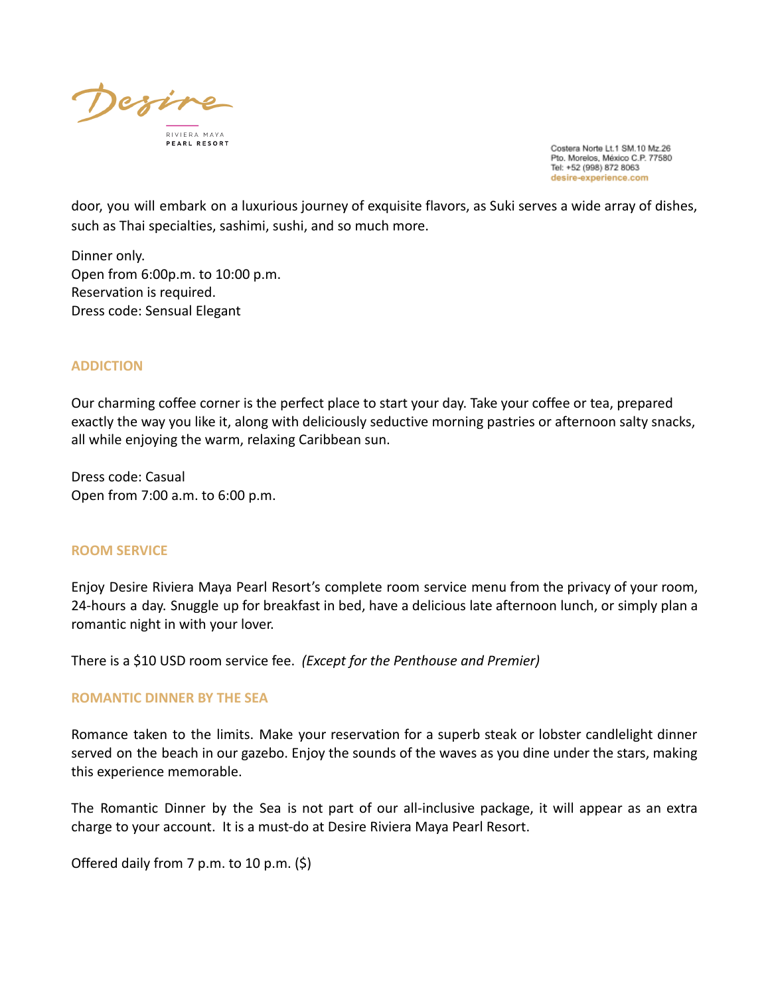

door, you will embark on a luxurious journey of exquisite flavors, as Suki serves a wide array of dishes, such as Thai specialties, sashimi, sushi, and so much more.

Dinner only. Open from 6:00p.m. to 10:00 p.m. Reservation is required. Dress code: Sensual Elegant

## **ADDICTION**

Our charming coffee corner is the perfect place to start your day. Take your coffee or tea, prepared exactly the way you like it, along with deliciously seductive morning pastries or afternoon salty snacks, all while enjoying the warm, relaxing Caribbean sun.

Dress code: Casual Open from 7:00 a.m. to 6:00 p.m.

### **ROOM SERVICE**

Enjoy Desire Riviera Maya Pearl Resort's complete room service menu from the privacy of your room, 24-hours a day. Snuggle up for breakfast in bed, have a delicious late afternoon lunch, or simply plan a romantic night in with your lover.

There is a \$10 USD room service fee. *(Except for the Penthouse and Premier)*

### **ROMANTIC DINNER BY THE SEA**

Romance taken to the limits. Make your reservation for a superb steak or lobster candlelight dinner served on the beach in our gazebo. Enjoy the sounds of the waves as you dine under the stars, making this experience memorable.

The Romantic Dinner by the Sea is not part of our all-inclusive package, it will appear as an extra charge to your account. It is a must-do at Desire Riviera Maya Pearl Resort.

Offered daily from 7 p.m. to 10 p.m. (\$)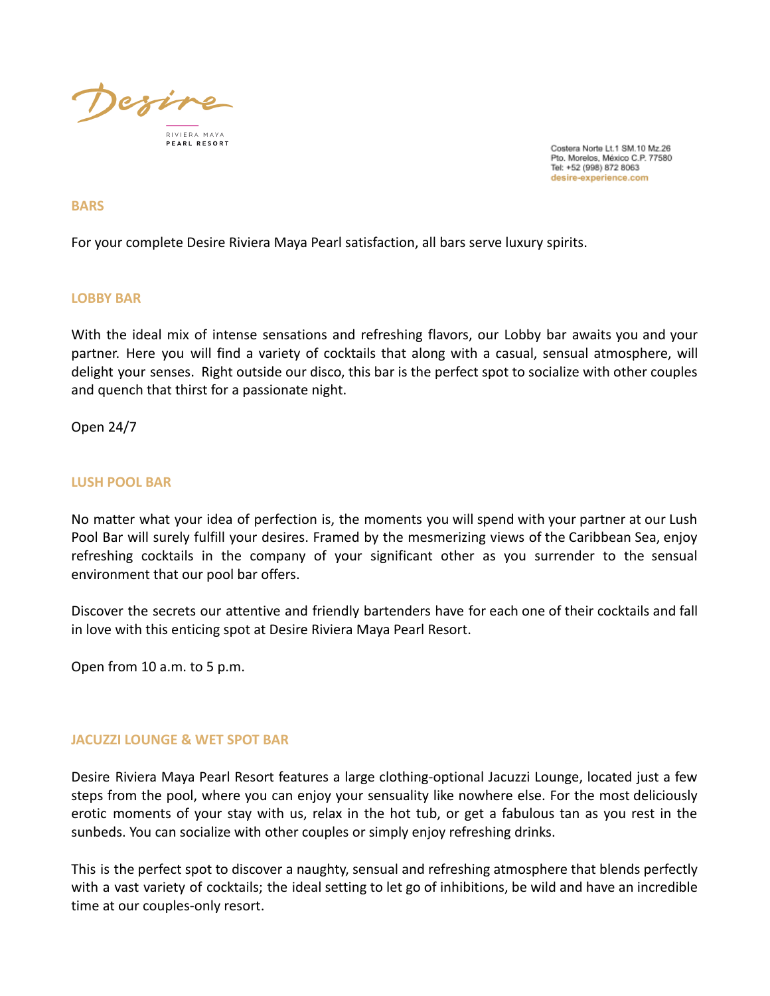

#### **BARS**

For your complete Desire Riviera Maya Pearl satisfaction, all bars serve luxury spirits.

### **LOBBY BAR**

With the ideal mix of intense sensations and refreshing flavors, our Lobby bar awaits you and your partner. Here you will find a variety of cocktails that along with a casual, sensual atmosphere, will delight your senses. Right outside our disco, this bar is the perfect spot to socialize with other couples and quench that thirst for a passionate night.

Open 24/7

#### **LUSH POOL BAR**

No matter what your idea of perfection is, the moments you will spend with your partner at our Lush Pool Bar will surely fulfill your desires. Framed by the mesmerizing views of the Caribbean Sea, enjoy refreshing cocktails in the company of your significant other as you surrender to the sensual environment that our pool bar offers.

Discover the secrets our attentive and friendly bartenders have for each one of their cocktails and fall in love with this enticing spot at Desire Riviera Maya Pearl Resort.

Open from 10 a.m. to 5 p.m.

### **JACUZZI LOUNGE & WET SPOT BAR**

Desire Riviera Maya Pearl Resort features a large clothing-optional Jacuzzi Lounge, located just a few steps from the pool, where you can enjoy your sensuality like nowhere else. For the most deliciously erotic moments of your stay with us, relax in the hot tub, or get a fabulous tan as you rest in the sunbeds. You can socialize with other couples or simply enjoy refreshing drinks.

This is the perfect spot to discover a naughty, sensual and refreshing atmosphere that blends perfectly with a vast variety of cocktails; the ideal setting to let go of inhibitions, be wild and have an incredible time at our couples-only resort.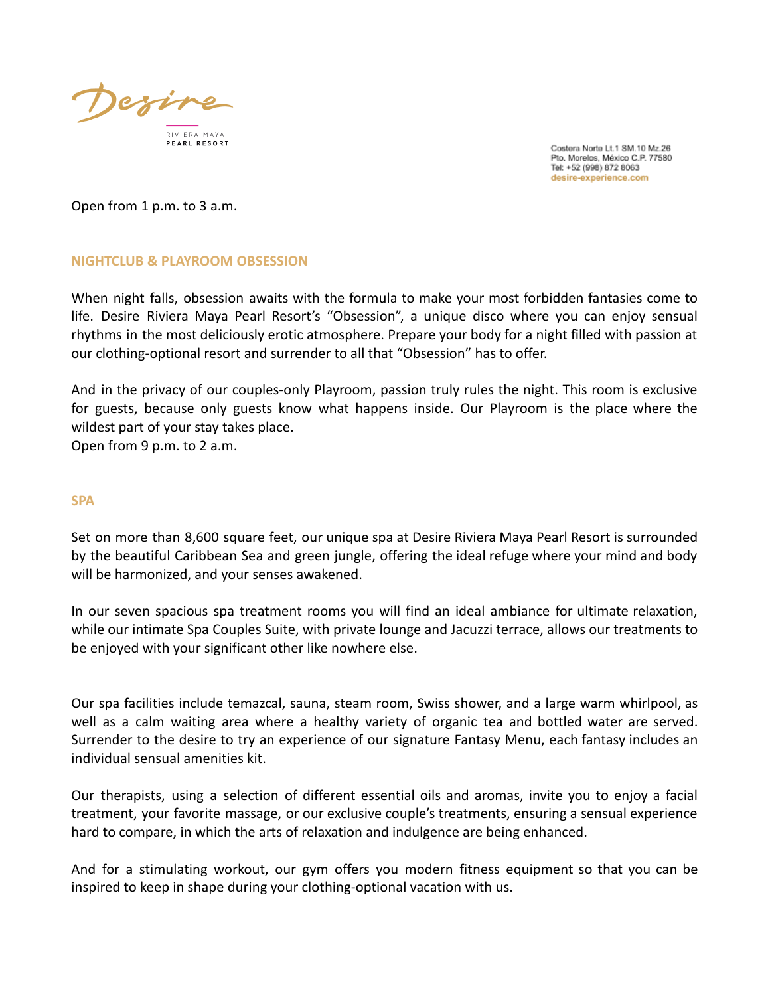

Open from 1 p.m. to 3 a.m.

## **NIGHTCLUB & PLAYROOM OBSESSION**

When night falls, obsession awaits with the formula to make your most forbidden fantasies come to life. Desire Riviera Maya Pearl Resort's "Obsession", a unique disco where you can enjoy sensual rhythms in the most deliciously erotic atmosphere. Prepare your body for a night filled with passion at our clothing-optional resort and surrender to all that "Obsession" has to offer.

And in the privacy of our couples-only Playroom, passion truly rules the night. This room is exclusive for guests, because only guests know what happens inside. Our Playroom is the place where the wildest part of your stay takes place.

Open from 9 p.m. to 2 a.m.

### **SPA**

Set on more than 8,600 square feet, our unique spa at Desire Riviera Maya Pearl Resort is surrounded by the beautiful Caribbean Sea and green jungle, offering the ideal refuge where your mind and body will be harmonized, and your senses awakened.

In our seven spacious spa treatment rooms you will find an ideal ambiance for ultimate relaxation, while our intimate Spa Couples Suite, with private lounge and Jacuzzi terrace, allows our treatments to be enjoyed with your significant other like nowhere else.

Our spa facilities include temazcal, sauna, steam room, Swiss shower, and a large warm whirlpool, as well as a calm waiting area where a healthy variety of organic tea and bottled water are served. Surrender to the desire to try an experience of our signature Fantasy Menu, each fantasy includes an individual sensual amenities kit.

Our therapists, using a selection of different essential oils and aromas, invite you to enjoy a facial treatment, your favorite massage, or our exclusive couple's treatments, ensuring a sensual experience hard to compare, in which the arts of relaxation and indulgence are being enhanced.

And for a stimulating workout, our gym offers you modern fitness equipment so that you can be inspired to keep in shape during your clothing-optional vacation with us.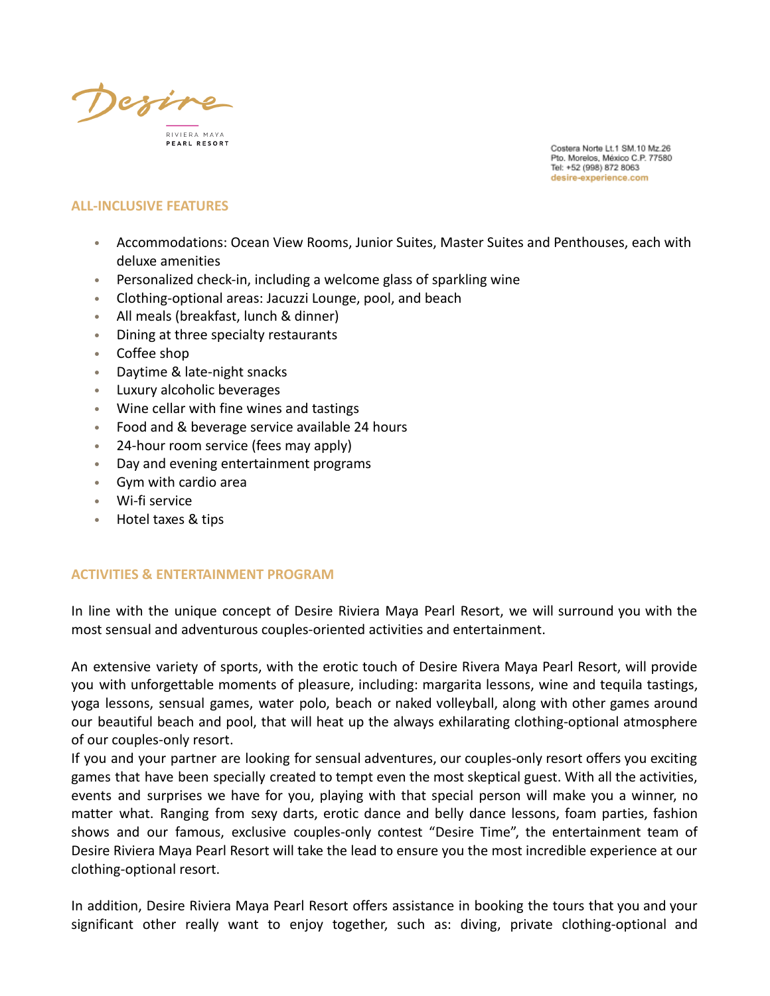

## **ALL-INCLUSIVE FEATURES**

- Accommodations: Ocean View Rooms, Junior Suites, Master Suites and Penthouses, each with deluxe amenities
- Personalized check-in, including a welcome glass of sparkling wine
- Clothing-optional areas: Jacuzzi Lounge, pool, and beach
- All meals (breakfast, lunch & dinner)
- Dining at three specialty restaurants
- Coffee shop
- Daytime & late-night snacks
- Luxury alcoholic beverages
- Wine cellar with fine wines and tastings
- Food and & beverage service available 24 hours
- 24-hour room service (fees may apply)
- Day and evening entertainment programs
- Gym with cardio area
- Wi-fi service
- Hotel taxes & tips

### **ACTIVITIES & ENTERTAINMENT PROGRAM**

In line with the unique concept of Desire Riviera Maya Pearl Resort, we will surround you with the most sensual and adventurous couples-oriented activities and entertainment.

An extensive variety of sports, with the erotic touch of Desire Rivera Maya Pearl Resort, will provide you with unforgettable moments of pleasure, including: margarita lessons, wine and tequila tastings, yoga lessons, sensual games, water polo, beach or naked volleyball, along with other games around our beautiful beach and pool, that will heat up the always exhilarating clothing-optional atmosphere of our couples-only resort.

If you and your partner are looking for sensual adventures, our couples-only resort offers you exciting games that have been specially created to tempt even the most skeptical guest. With all the activities, events and surprises we have for you, playing with that special person will make you a winner, no matter what. Ranging from sexy darts, erotic dance and belly dance lessons, foam parties, fashion shows and our famous, exclusive couples-only contest "Desire Time", the entertainment team of Desire Riviera Maya Pearl Resort will take the lead to ensure you the most incredible experience at our clothing-optional resort.

In addition, Desire Riviera Maya Pearl Resort offers assistance in booking the tours that you and your significant other really want to enjoy together, such as: diving, private clothing-optional and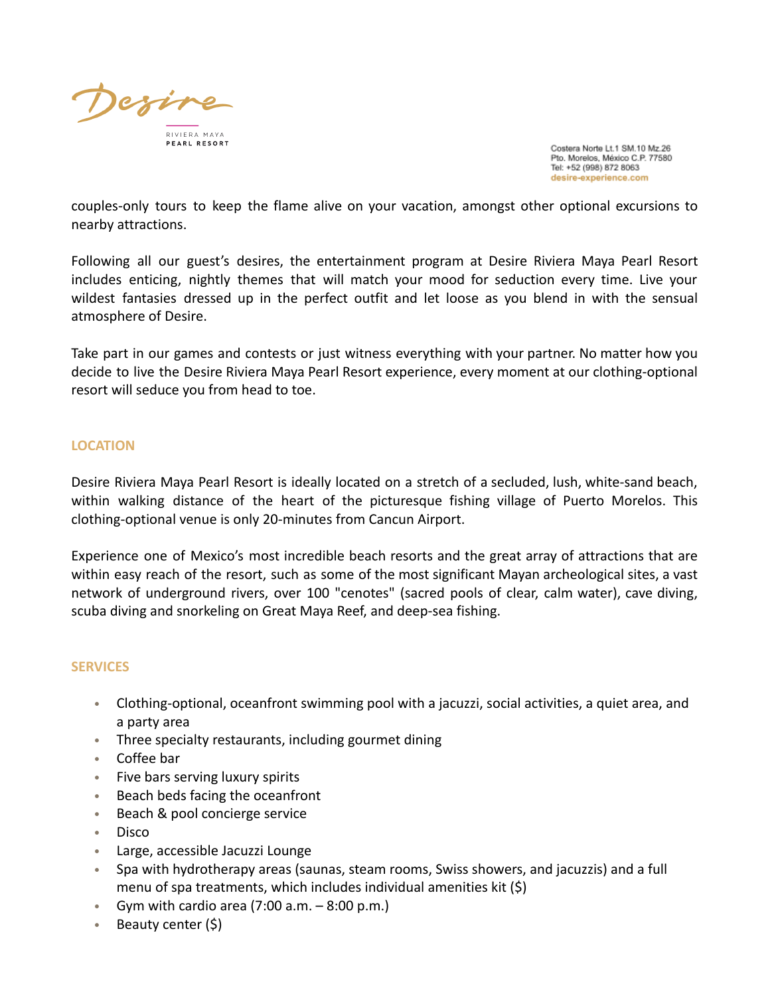

couples-only tours to keep the flame alive on your vacation, amongst other optional excursions to nearby attractions.

Following all our guest's desires, the entertainment program at Desire Riviera Maya Pearl Resort includes enticing, nightly themes that will match your mood for seduction every time. Live your wildest fantasies dressed up in the perfect outfit and let loose as you blend in with the sensual atmosphere of Desire.

Take part in our games and contests or just witness everything with your partner. No matter how you decide to live the Desire Riviera Maya Pearl Resort experience, every moment at our clothing-optional resort will seduce you from head to toe.

## **LOCATION**

Desire Riviera Maya Pearl Resort is ideally located on a stretch of a secluded, lush, white-sand beach, within walking distance of the heart of the picturesque fishing village of Puerto Morelos. This clothing-optional venue is only 20-minutes from Cancun Airport.

Experience one of Mexico's most incredible beach resorts and the great array of attractions that are within easy reach of the resort, such as some of the most significant Mayan archeological sites, a vast network of underground rivers, over 100 "cenotes" (sacred pools of clear, calm water), cave diving, scuba diving and snorkeling on Great Maya Reef, and deep-sea fishing.

## **SERVICES**

- Clothing-optional, oceanfront swimming pool with a jacuzzi, social activities, a quiet area, and a party area
- Three specialty restaurants, including gourmet dining
- Coffee bar
- Five bars serving luxury spirits
- Beach beds facing the oceanfront
- Beach & pool concierge service
- Disco
- Large, accessible Jacuzzi Lounge
- Spa with hydrotherapy areas (saunas, steam rooms, Swiss showers, and jacuzzis) and a full menu of spa treatments, which includes individual amenities kit (\$)
- Gym with cardio area  $(7:00 a.m. 8:00 p.m.)$
- Beauty center (\$)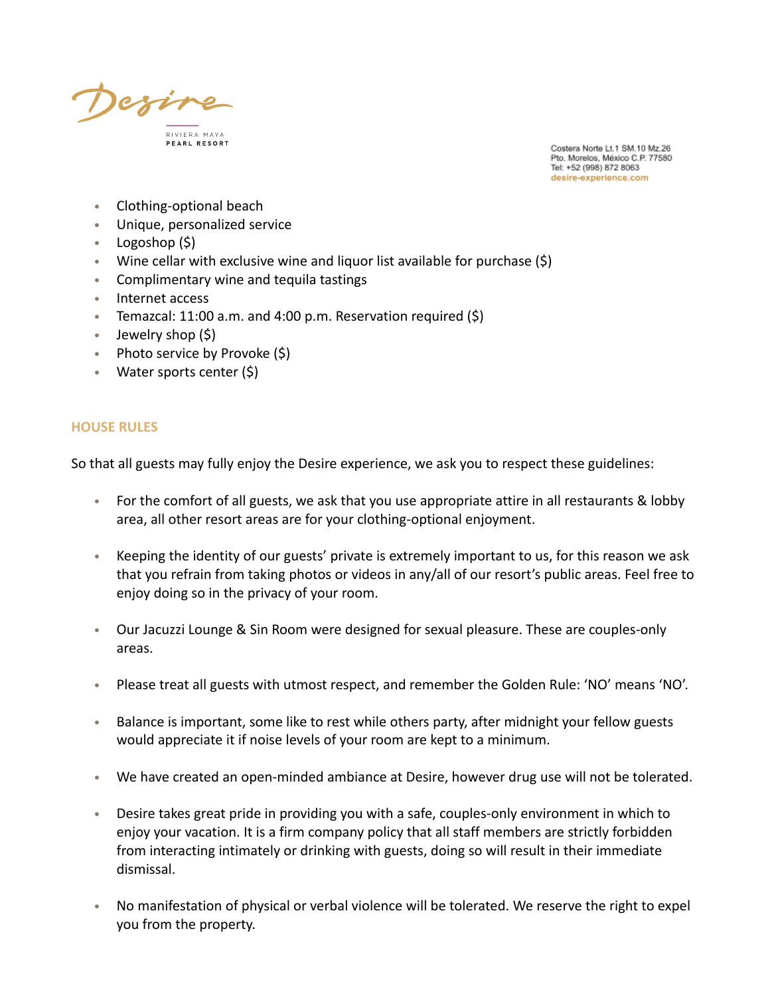

- Clothing-optional beach
- Unique, personalized service
- Logoshop (\$)
- Wine cellar with exclusive wine and liquor list available for purchase (\$)
- Complimentary wine and tequila tastings
- Internet access
- Temazcal: 11:00 a.m. and 4:00 p.m. Reservation required  $(5)$
- Jewelry shop (\$)
- Photo service by Provoke (\$)
- Water sports center (\$)

### **HOUSE RULES**

So that all guests may fully enjoy the Desire experience, we ask you to respect these guidelines:

- For the comfort of all guests, we ask that you use appropriate attire in all restaurants & lobby area, all other resort areas are for your clothing-optional enjoyment.
- Keeping the identity of our guests' private is extremely important to us, for this reason we ask that you refrain from taking photos or videos in any/all of our resort's public areas. Feel free to enjoy doing so in the privacy of your room.
- Our Jacuzzi Lounge & Sin Room were designed for sexual pleasure. These are couples-only areas.
- Please treat all guests with utmost respect, and remember the Golden Rule: 'NO' means 'NO'.
- Balance is important, some like to rest while others party, after midnight your fellow guests would appreciate it if noise levels of your room are kept to a minimum.
- We have created an open-minded ambiance at Desire, however drug use will not be tolerated.
- Desire takes great pride in providing you with a safe, couples-only environment in which to enjoy your vacation. It is a firm company policy that all staff members are strictly forbidden from interacting intimately or drinking with guests, doing so will result in their immediate dismissal.
- No manifestation of physical or verbal violence will be tolerated. We reserve the right to expel you from the property.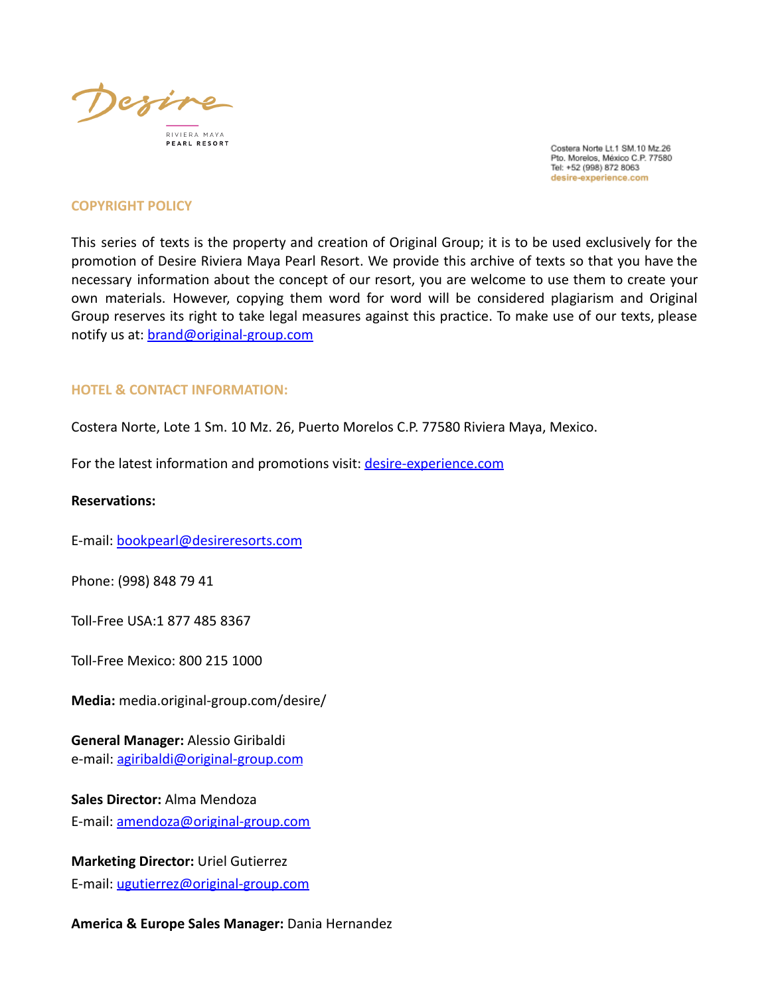

#### **COPYRIGHT POLICY**

This series of texts is the property and creation of Original Group; it is to be used exclusively for the promotion of Desire Riviera Maya Pearl Resort. We provide this archive of texts so that you have the necessary information about the concept of our resort, you are welcome to use them to create your own materials. However, copying them word for word will be considered plagiarism and Original Group reserves its right to take legal measures against this practice. To make use of our texts, please notify us at: brand[@original-group.com](mailto:marketing@original-group.com)

### **HOTEL & CONTACT INFORMATION:**

Costera Norte, Lote 1 Sm. 10 Mz. 26, Puerto Morelos C.P. 77580 Riviera Maya, Mexico.

For the latest information and promotions visit: desire-experience.com

#### **Reservations:**

E-mail: [bookpearl@desireresorts.com](mailto:bookpearl@desireresorts.com)

Phone: (998) 848 79 41

Toll-Free USA:1 877 485 8367

Toll-Free Mexico: 800 215 1000

**Media:** media.original-group.com/desire/

**General Manager:** Alessio Giribaldi e-mail: [agiribaldi@original-group.com](mailto:agiribaldi@original-group.com)

**Sales Director:** Alma Mendoza E-mail: [amendoza@original-group.com](mailto:amendoza@original-group.com)

**Marketing Director:** Uriel Gutierrez E-mail: [ugutierrez@original-group.com](mailto:ugutierrez@original-group.com)

**America & Europe Sales Manager:** Dania Hernandez